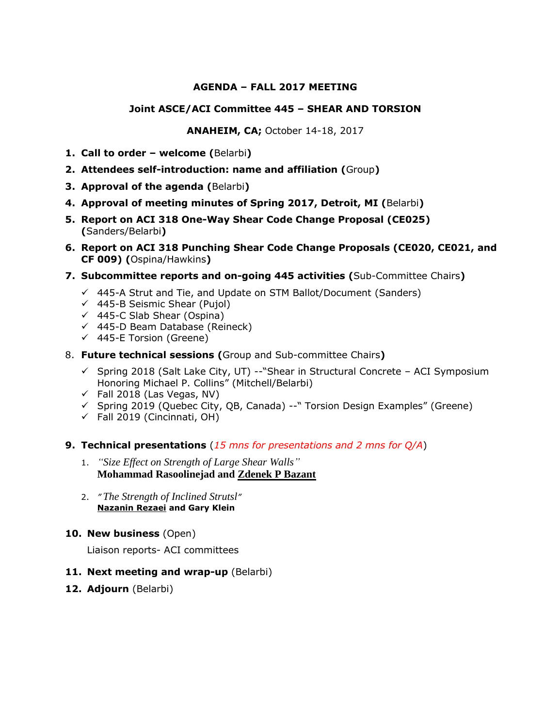### **AGENDA – FALL 2017 MEETING**

### **Joint ASCE/ACI Committee 445 – SHEAR AND TORSION**

**ANAHEIM, CA;** October 14-18, 2017

- **1. Call to order – welcome (**Belarbi**)**
- **2. Attendees self-introduction: name and affiliation (**Group**)**
- **3. Approval of the agenda (**Belarbi**)**
- **4. Approval of meeting minutes of Spring 2017, Detroit, MI (**Belarbi**)**
- **5. Report on ACI 318 One-Way Shear Code Change Proposal (CE025) (**Sanders/Belarbi**)**
- **6. Report on ACI 318 Punching Shear Code Change Proposals (CE020, CE021, and CF 009) (**Ospina/Hawkins**)**
- **7. Subcommittee reports and on-going 445 activities (**Sub-Committee Chairs**)**
	- $\checkmark$  445-A Strut and Tie, and Update on STM Ballot/Document (Sanders)
	- $\checkmark$  445-B Seismic Shear (Pujol)
	- $(445-C$  Slab Shear (Ospina)
	- 445-D Beam Database (Reineck)
	- $(445-E$  Torsion (Greene)
- 8. **Future technical sessions (**Group and Sub-committee Chairs**)** 
	- $\checkmark$  Spring 2018 (Salt Lake City, UT) --"Shear in Structural Concrete ACI Symposium Honoring Michael P. Collins" (Mitchell/Belarbi)
	- $\checkmark$  Fall 2018 (Las Vegas, NV)
	- $\checkmark$  Spring 2019 (Quebec City, QB, Canada) --" Torsion Design Examples" (Greene)
	- $\checkmark$  Fall 2019 (Cincinnati, OH)
- **9. Technical presentations** (*15 mns for presentations and 2 mns for Q/A*)
	- 1. *"Size Effect on Strength of Large Shear Walls"* **Mohammad Rasoolinejad and Zdenek P Bazant**
	- 2. *" The Strength of Inclined Strutsl"*  **Nazanin Rezaei and Gary Klein**

#### **10. New business** (Open)

Liaison reports- ACI committees

- **11. Next meeting and wrap-up** (Belarbi)
- **12. Adjourn** (Belarbi)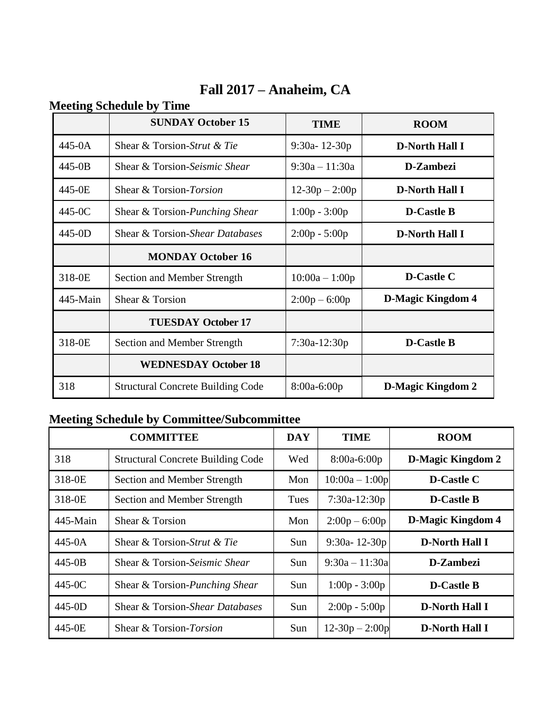| o        | <b>SUNDAY October 15</b>                 | <b>TIME</b>      | <b>ROOM</b>              |
|----------|------------------------------------------|------------------|--------------------------|
| 445-0A   | Shear & Torsion-Strut & Tie              | $9:30a - 12-30p$ | <b>D-North Hall I</b>    |
| 445-0B   | Shear & Torsion-Seismic Shear            | $9:30a - 11:30a$ | D-Zambezi                |
| 445-0E   | Shear & Torsion-Torsion                  | $12-30p - 2:00p$ | <b>D-North Hall I</b>    |
| 445-0C   | Shear & Torsion-Punching Shear           | $1:00p - 3:00p$  | <b>D-Castle B</b>        |
| 445-0D   | Shear & Torsion-Shear Databases          | $2:00p - 5:00p$  | <b>D-North Hall I</b>    |
|          | <b>MONDAY October 16</b>                 |                  |                          |
| 318-0E   | Section and Member Strength              | $10:00a - 1:00p$ | D-Castle C               |
| 445-Main | Shear & Torsion                          | $2:00p - 6:00p$  | <b>D-Magic Kingdom 4</b> |
|          | <b>TUESDAY October 17</b>                |                  |                          |
| 318-0E   | Section and Member Strength              | $7:30a-12:30p$   | <b>D-Castle B</b>        |
|          | <b>WEDNESDAY October 18</b>              |                  |                          |
| 318      | <b>Structural Concrete Building Code</b> | $8:00a-6:00p$    | <b>D-Magic Kingdom 2</b> |

# **Fall 2017 – Anaheim, CA**

## **Meeting Schedule by Time**

## **Meeting Schedule by Committee/Subcommittee**

| <b>COMMITTEE</b> |                                          | <b>DAY</b> | <b>TIME</b>      | <b>ROOM</b>              |
|------------------|------------------------------------------|------------|------------------|--------------------------|
| 318              | <b>Structural Concrete Building Code</b> | Wed        | $8:00a-6:00p$    | <b>D-Magic Kingdom 2</b> |
| 318-0E           | Section and Member Strength              | Mon        | $10:00a - 1:00p$ | <b>D-Castle C</b>        |
| 318-0E           | Section and Member Strength              | Tues       | $7:30a-12:30p$   | <b>D-Castle B</b>        |
| 445-Main         | Shear & Torsion                          | Mon        | $2:00p - 6:00p$  | <b>D-Magic Kingdom 4</b> |
| $445-0A$         | Shear & Torsion-Strut & Tie              | Sun        | $9:30a - 12-30p$ | <b>D-North Hall I</b>    |
| $445-0B$         | Shear & Torsion-Seismic Shear            | Sun        | $9:30a - 11:30a$ | D-Zambezi                |
| 445-0C           | Shear & Torsion-Punching Shear           | Sun        | $1:00p - 3:00p$  | <b>D-Castle B</b>        |
| $445-0D$         | Shear & Torsion-Shear Databases          | Sun        | $2:00p - 5:00p$  | <b>D-North Hall I</b>    |
| 445-0E           | Shear & Torsion-Torsion                  | Sun        | $12-30p - 2:00p$ | <b>D-North Hall I</b>    |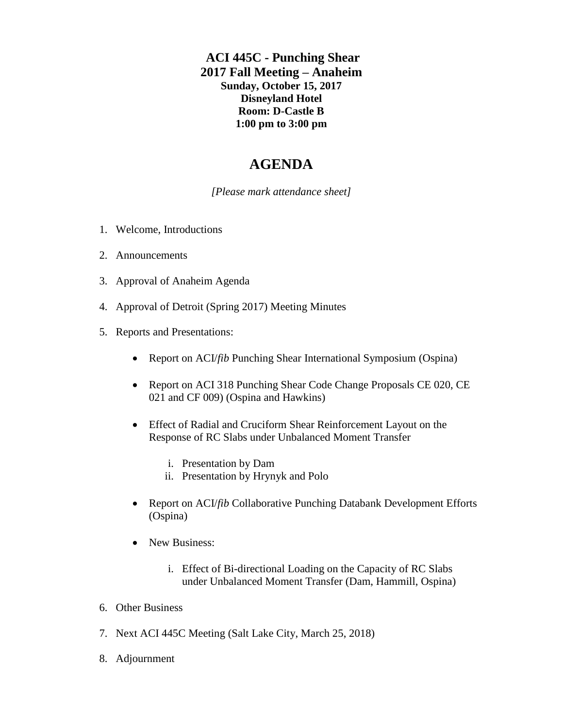**ACI 445C - Punching Shear 2017 Fall Meeting – Anaheim Sunday, October 15, 2017 Disneyland Hotel Room: D-Castle B 1:00 pm to 3:00 pm**

## **AGENDA**

*[Please mark attendance sheet]*

- 1. Welcome, Introductions
- 2. Announcements
- 3. Approval of Anaheim Agenda
- 4. Approval of Detroit (Spring 2017) Meeting Minutes
- 5. Reports and Presentations:
	- Report on ACI/*fib* Punching Shear International Symposium (Ospina)
	- Report on ACI 318 Punching Shear Code Change Proposals CE 020, CE 021 and CF 009) (Ospina and Hawkins)
	- Effect of Radial and Cruciform Shear Reinforcement Layout on the Response of RC Slabs under Unbalanced Moment Transfer
		- i. Presentation by Dam
		- ii. Presentation by Hrynyk and Polo
	- Report on ACI/*fib* Collaborative Punching Databank Development Efforts (Ospina)
	- New Business:
		- i. Effect of Bi-directional Loading on the Capacity of RC Slabs under Unbalanced Moment Transfer (Dam, Hammill, Ospina)
- 6. Other Business
- 7. Next ACI 445C Meeting (Salt Lake City, March 25, 2018)
- 8. Adjournment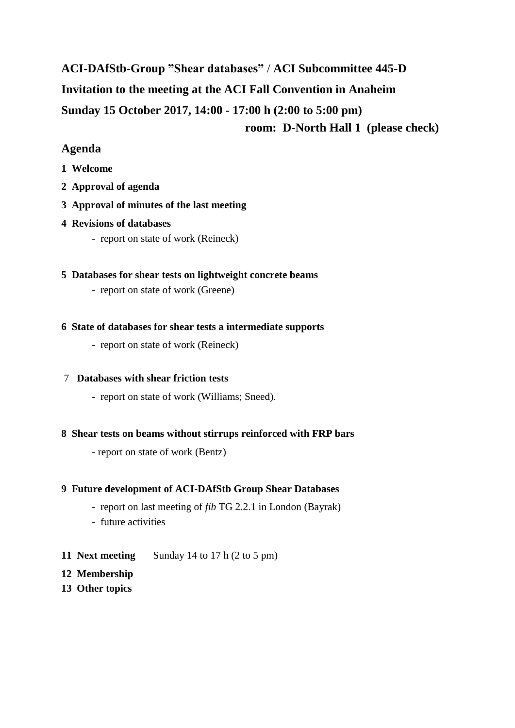# **ACI-DAfStb-Group "Shear databases"** / **ACI Subcommittee 445-D Invitation to the meeting at the ACI Fall Convention in Anaheim Sunday 15 October 2017, 14:00 - 17:00 h (2:00 to 5:00 pm) room: D-North Hall 1 (please check)**

## **Agenda**

- **1 Welcome**
- **2 Approval of agenda**
- **3 Approval of minutes of the last meeting**
- **4 Revisions of databases** 
	- report on state of work (Reineck)
- **5 Databases for shear tests on lightweight concrete beams**
	- report on state of work (Greene)
- **6 State of databases for shear tests a intermediate supports** 
	- report on state of work (Reineck)
- 7 **Databases with shear friction tests** 
	- report on state of work (Williams; Sneed).
- **8 Shear tests on beams without stirrups reinforced with FRP bars**
	- report on state of work (Bentz)

## **9 Future development of ACI-DAfStb Group Shear Databases**

- report on last meeting of *fib* TG 2.2.1 in London (Bayrak)
- future activities
- **11 Next meeting** Sunday 14 to 17 h (2 to 5 pm)
- **12 Membership**
- **13 Other topics**